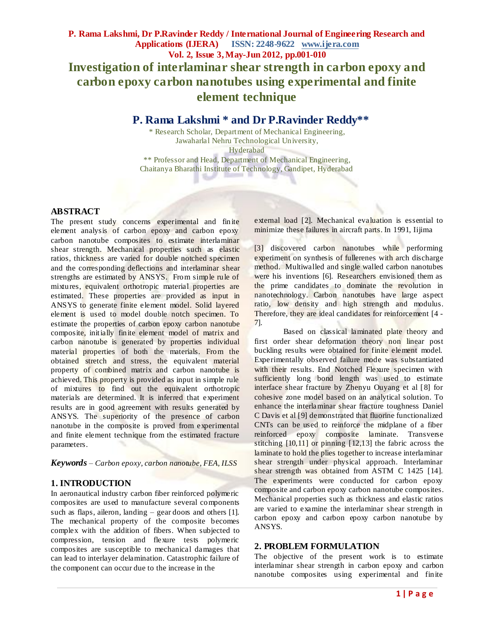# **P. Rama Lakshmi \* and Dr P.Ravinder Reddy\*\***

\* Research Scholar, Department of Mechanical Engineering, Jawaharlal Nehru Technological University, Hyderabad

\*\* Professor and Head, Department of Mechanical Engineering, Chaitanya Bharathi Institute of Technology, Gandipet, Hyderabad

#### **ABSTRACT**

The present study concerns experimental and finite element analysis of carbon epoxy and carbon epoxy carbon nanotube composites to estimate interlaminar shear strength. Mechanical properties such as elastic ratios, thickness are varied for double notched specimen and the corresponding deflections and interlaminar shear strengths are estimated by ANSYS. From simple rule of mixtures, equivalent orthotropic material properties are estimated. These properties are provided as input in ANSYS to generate finite element model. Solid layered element is used to model double notch specimen. To estimate the properties of carbon epoxy carbon nanotube composite, initially finite element model of matrix and carbon nanotube is generated by properties individual material properties of both the materials. From the obtained stretch and stress, the equivalent material property of combined matrix and carbon nanotube is achieved. This property is provided as input in simple rule of mixtures to find out the equivalent orthotropic materials are determined. It is inferred that experiment results are in good agreement with results generated by ANSYS. The superiority of the presence of carbon nanotube in the composite is proved from experimental and finite element technique from the estimated fracture parameters.

*Keywords – Carbon epoxy, carbon nanotube, FEA, ILSS*

# **1. INTRODUCTION**

In aeronautical industry carbon fiber reinforced polymeric composites are used to manufacture several components such as flaps, aileron, landing – gear doors and others [1]. The mechanical property of the composite becomes complex with the addition of fibers. When subjected to compression, tension and flexure tests polymeric composites are susceptible to mechanical damages that can lead to interlayer delamination. Catastrophic failure of the component can occur due to the increase in the

external load [2]. Mechanical evaluation is essential to minimize these failures in aircraft parts. In 1991, Iijima

[3] discovered carbon nanotubes while performing experiment on synthesis of fullerenes with arch discharge method. Multiwalled and single walled carbon nanotubes were his inventions [6]. Researchers envisioned them as the prime candidates to dominate the revolution in nanotechnology. Carbon nanotubes have large aspect ratio, low density and high strength and modulus. Therefore, they are ideal candidates for reinforcement [4 - 7].

Based on classical laminated plate theory and first order shear deformation theory non linear post buckling results were obtained for finite element model. Experimentally observed failure mode was substantiated with their results. End Notched Flexure specimen with sufficiently long bond length was used to estimate interface shear fracture by Zhenyu Ouyang et al [8] for cohesive zone model based on an analytical solution. To enhance the interlaminar shear fracture toughness Daniel C Davis et al [9] demonstrated that fluorine functionalized CNTs can be used to reinforce the midplane of a fiber reinforced epoxy composite laminate. Transverse stitching [10,11] or pinning [12,13] the fabric across the laminate to hold the plies together to increase interlaminar shear strength under physical approach. Interlaminar shear strength was obtained from ASTM C 1425 [14]. The experiments were conducted for carbon epoxy composite and carbon epoxy carbon nanotube composites. Mechanical properties such as thickness and elastic ratios are varied to examine the interlaminar shear strength in carbon epoxy and carbon epoxy carbon nanotube by ANSYS.

## **2. PROBLEM FORMULATION**

The objective of the present work is to estimate interlaminar shear strength in carbon epoxy and carbon nanotube composites using experimental and finite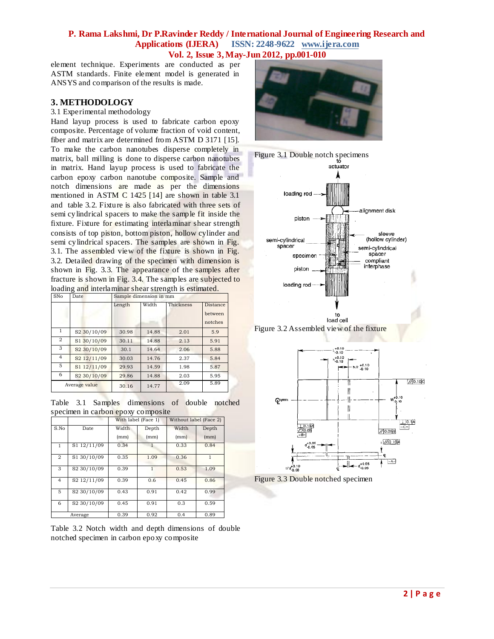element technique. Experiments are conducted as per ASTM standards. Finite element model is generated in ANSYS and comparison of the results is made.

### **3. METHODOLOGY**

#### 3.1 Experimental methodology

Hand layup process is used to fabricate carbon epoxy composite. Percentage of volume fraction of void content, fiber and matrix are determined from ASTM D 3171 [15]. To make the carbon nanotubes disperse completely in matrix, ball milling is done to disperse carbon nanotubes in matrix. Hand layup process is used to fabricate the carbon epoxy carbon nanotube composite. Sample and notch dimensions are made as per the dimensions mentioned in ASTM C 1425 [14] are shown in table 3.1 and table 3.2. Fixture is also fabricated with three sets of semi cylindrical spacers to make the sample fit inside the fixture. Fixture for estimating interlaminar shear strength consists of top piston, bottom piston, hollow cylinder and semi cylindrical spacers. The samples are shown in Fig. 3.1. The assembled view of the fixture is shown in Fig. 3.2. Detailed drawing of the specimen with dimension is shown in Fig. 3.3. The appearance of the samples after fracture is shown in Fig. 3.4. The samples are subjected to loading and interlaminar shear strength is estimated.

| SNo           | Date                    | Sample dimension in mm |       |           |                                       |  |
|---------------|-------------------------|------------------------|-------|-----------|---------------------------------------|--|
|               |                         | Length                 | Width | Thickness | <b>Distance</b><br>between<br>notches |  |
| 1             | S <sub>2</sub> 30/10/09 | 30.98                  | 14.88 | 2.01      | 5.9                                   |  |
| 2             | S1 30/10/09             | 30.11                  | 14.88 | 2.13      | 5.91                                  |  |
| 3             | S <sub>2</sub> 30/10/09 | 30.1                   | 14.64 | 2.06      | 5.88                                  |  |
| 4             | S2 12/11/09             | 30.03                  | 14.76 | 2.37      | 5.84                                  |  |
| 5             | S1 12/11/09             | 29.93                  | 14.59 | 1.98      | 5.87                                  |  |
| 6             | S <sub>2</sub> 30/10/09 | 29.86                  | 14.88 | 2.03      | 5.95                                  |  |
| Average value |                         | 30.16                  | 14.77 | 2.09      | 5.89                                  |  |

Table 3.1 Samples dimensions of double notched specimen in carbon epoxy composite

|                |                         | With label (Face 1) |               | Without label (Face 2) |               |
|----------------|-------------------------|---------------------|---------------|------------------------|---------------|
| S.No           | Date                    | Width<br>(mm)       | Depth<br>(mm) | Width<br>(mm)          | Depth<br>(mm) |
| $\mathbf{1}$   | S1 12/11/09             | 0.34                |               | 0.33                   | 0.84          |
| $\overline{2}$ | S1 30/10/09             | 0.35                | 1.09          | 0.36                   | 1             |
| 3              | S2 30/10/09             | 0.39                | 1             | 0.53                   | 1.09          |
| 4              | S <sub>2</sub> 12/11/09 | 0.39                | 0.6           | 0.45                   | 0.86          |
| 5              | S2 30/10/09             | 0.43                | 0.91          | 0.42                   | 0.99          |
| 6              | S <sub>2</sub> 30/10/09 | 0.45                | 0.91          | 0.3                    | 0.59          |
|                | Average                 | 0.39                | 0.92          | 0.4                    | 0.89          |

Table 3.2 Notch width and depth dimensions of double notched specimen in carbon epoxy composite









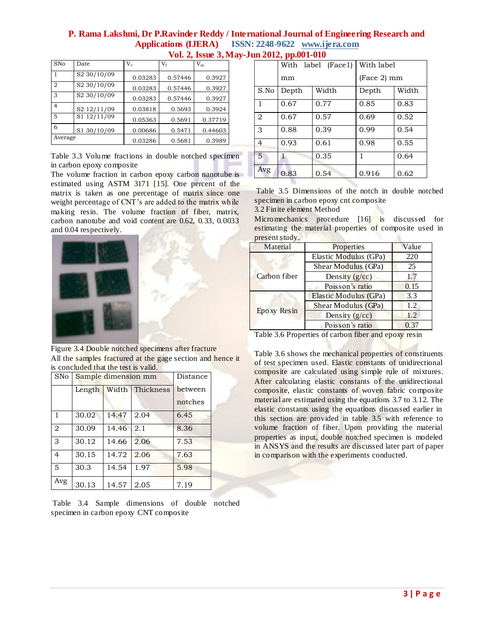| SNo            | Date                    | V,      | $V_{\rm f}$ | $V_{m}$ |
|----------------|-------------------------|---------|-------------|---------|
|                | S <sub>2</sub> 30/10/09 | 0.03283 | 0.57446     | 0.3927  |
| $\overline{2}$ | S2 30/10/09             | 0.03283 | 0.57446     | 0.3927  |
| 3              | S2 30/10/09             | 0.03283 | 0.57446     | 0.3927  |
| $\overline{4}$ | S2 12/11/09             | 0.03818 | 0.5693      | 0.3924  |
| 5              | S1 12/11/09             | 0.05363 | 0.5691      | 0.37719 |
| 6              | S1 30/10/09             | 0.00686 | 0.5471      | 0.44603 |
| Average        |                         | 0.03286 | 0.5681      | 0.3989  |

Table 3.3 Volume fractions in double notched specimen in carbon epoxy composite

The volume fraction in carbon epoxy carbon nanotube is estimated using ASTM 3171 [15]. One percent of the matrix is taken as one percentage of matrix since one weight percentage of CNT's are added to the matrix while making resin. The volume fraction of fiber, matrix, carbon nanotube and void content are 0.62, 0.33, 0.0033 and 0.04 respectively.



Figure 3.4 Double notched specimens after fracture All the samples fractured at the gage section and hence it is concluded that the test is valid.

| <b>SNo</b>     |        | Sample dimension mm |                 |                    |  |  |
|----------------|--------|---------------------|-----------------|--------------------|--|--|
|                | Length |                     | Width Thickness | between<br>notches |  |  |
| 1              | 30.02  | 14.47               | 2.04            | 6.45               |  |  |
| $\overline{2}$ | 30.09  | 14.46               | 2.1             | 8.36               |  |  |
| 3              | 30.12  | 14.66               | 2.06            | 7.53               |  |  |
| $\overline{4}$ | 30.15  | 14.72               | 2.06            | 7.63               |  |  |
| 5              | 30.3   | 14.54               | 1.97            | 5.98               |  |  |
| Avg            | 30.13  | 14.57               | 2.05            | 7.19               |  |  |

Table 3.4 Sample dimensions of double notched specimen in carbon epoxy CNT composite

|                | .     | With label (Face1) | With label  |       |
|----------------|-------|--------------------|-------------|-------|
|                | mm    |                    | (Face 2) mm |       |
| S.No           | Depth | Width              | Depth       | Width |
| 1              | 0.67  | 0.77               | 0.85        | 0.83  |
| $\overline{2}$ | 0.67  | 0.57               | 0.69        | 0.52  |
| 3              | 0.88  | 0.39               | 0.99        | 0.54  |
| $\overline{4}$ | 0.93  | 0.61               | 0.98        | 0.55  |
| $\overline{5}$ | 1     | 0.35               | 1           | 0.64  |
| Avg            | 0.83  | 0.54               | 0.916       | 0.62  |

Table 3.5 Dimensions of the notch in double notched specimen in carbon epoxy cnt composite

3.2 Finite element Method

Micromechanics procedure [16] is discussed for estimating the material properties of composite used in present study.

| Properties            | Value |
|-----------------------|-------|
| Elastic Modulus (GPa) | 220   |
| Shear Modulus (GPa)   | 25    |
| Density $(g/cc)$      | 1.7   |
| Poisson's ratio       | 0.15  |
| Elastic Modulus (GPa) | 3.3   |
| Shear Modulus (GPa)   | 1.2   |
| Density $(g/cc)$      | 1.2.  |
| Poisson's ratio       | 0.37  |
|                       |       |

Table 3.6 Properties of carbon fiber and epoxy resin

Table 3.6 shows the mechanical properties of constituents of test specimen used. Elastic constants of unidirectional composite are calculated using simple rule of mixtures. After calculating elastic constants of the unidirectional composite, elastic constants of woven fabric composite material are estimated using the equations 3.7 to 3.12. The elastic constants using the equations discussed earlier in this section are provided in table 3.5 with reference to volume fraction of fiber. Upon providing the material properties as input, double notched specimen is modeled in ANSYS and the results are discussed later part of paper in comparison with the experiments conducted.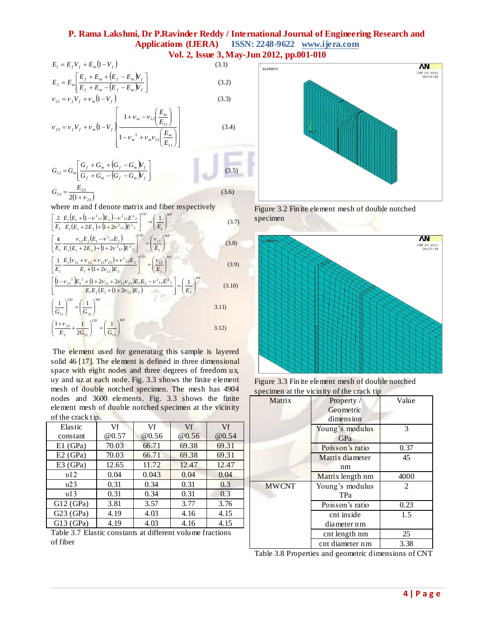(3.4)

a contact

(3.2)

$$
E_1 = E_f V_f + E_m (1 - V_f)
$$
\n(3.1)  
\n
$$
E_2 = E_m \left[ \frac{E_f + E_m + (E_f - E_m)V_f}{E_f + E_m - (E_f - E_m)V_f} \right]
$$
\n(3.2)  
\n
$$
V_{12} = V_f V_f + V_m (1 - V_f)
$$
\n(3.3)

$$
v_{23} = v_f V_f + v_m \left(1 - V_f\right) \left[ \frac{1 + v_m - v_{12} \left(\frac{E_m}{E_{11}}\right)}{1 - v_m^2 + v_m v_{12} \left(\frac{E_m}{E_{11}}\right)} \right]
$$

$$
G_{12} = G_m \left[ \frac{G_f + G_m + (G_f - G_m)V_f}{G_f + G_m - (G_f - G_m)V_f} \right]
$$
(3.5)  

$$
G_{23} = \frac{E_{22}}{(3.6)}
$$

$$
G_{23} = \frac{E_{22}}{2(1 + \nu_{23})}
$$

$$
G_{23} = \frac{E_{22}}{2(1 + \nu_{23})}
$$
(3.6)  
where m and f denote matrix and fiber respectively  

$$
\left[\frac{2}{E_1} \frac{E_1(E_1 + (1 - \nu^2_{12})E_2) - \nu^2_{12}E_2^2}{E_1(E_1 + 2E_2) + (1 + 2\nu^2_{12})E_2^2}\right]^{UD} = \left(\frac{1}{E_1}\right)^{WF}
$$
(3.7)  

$$
\left[\frac{4}{E_1} \frac{\nu_{12}E_2(E_1 - \nu^2_{12}E_2)}{E_1(E_1 + 2E_2) + (1 + 2\nu^2_{12})E_2^2}\right]^{UD} = \left(\frac{\nu_{12}}{E_1}\right)^{WF}
$$
(3.8)

$$
\left[\frac{L}{E_1}\frac{E_1(\nu_{12}+\nu_{23}+\nu_{12}\nu_{23})+\nu^2_{12}E_2}{E_1}\right]^{UD} = \left(\frac{\nu_{13}}{E_1}\right)^{WF} \tag{3.9}
$$

$$
\left[\frac{\left(L_{1} - \nu_{23}^{2}\right)E_{1}^{2} + \left(1 + 2\nu_{12} + 2\nu_{12}\nu_{23}\right)E_{1}E_{2} - \nu_{12}^{2}E_{2}^{2}}{E_{1}E_{2}\left(E_{1} + \left(1 + 2\nu_{12}\right)E_{2}\right)}\right] = \left(\frac{1}{E_{3}}\right)^{WF}
$$
(3.10)

$$
\left(\frac{1}{G_{12}}\right)^{UD} = \left(\frac{1}{G_{12}}\right)^{WF}
$$
\n
$$
\left(\frac{1+\nu_{23}}{2} + \frac{1}{\nu_{23}}\right)^{UD} = \left(\frac{1}{2}\right)^{WF}
$$
\n3.11)

$$
\left(\frac{1+\nu_{23}}{E_2} + \frac{1}{2G_{12}}\right)^{0.0} = \left(\frac{1}{G_{13}}\right)^{0.0} \tag{3.12}
$$

The element used for generating this sample is layered solid 46 [17]. The element is defined in three dimensional space with eight nodes and three degrees of freedom ux, uy and uz at each node. Fig. 3.3 shows the finite element mesh of double notched specimen. The mesh has 4904 nodes and 3600 elements. Fig. 3.3 shows the finite element mesh of double notched specimen at the vicinity of the crack tip.

| Elastic                                                   | Vf    | Vf    | Vf    | Vf    |  |  |
|-----------------------------------------------------------|-------|-------|-------|-------|--|--|
| constant                                                  | @0.57 | @0.56 | @0.56 | @0.54 |  |  |
| $E1$ (GPa)                                                | 70.03 | 66.71 | 69.38 | 69.31 |  |  |
| E2(GPa)                                                   | 70.03 | 66.71 | 69.38 | 69.31 |  |  |
| E3(GPa)                                                   | 12.65 | 11.72 | 12.47 | 12.47 |  |  |
| v12                                                       | 0.04  | 0.043 | 0.04  | 0.04  |  |  |
| v23                                                       | 0.31  | 0.34  | 0.31  | 0.3   |  |  |
| v13                                                       | 0.31  | 0.34  | 0.31  | 0.3   |  |  |
| G12(GPa)                                                  | 3.81  | 3.57  | 3.77  | 3.76  |  |  |
| G23(GPa)                                                  | 4.19  | 4.03  | 4.16  | 4.15  |  |  |
| G13(GPa)                                                  | 4.19  | 4.03  | 4.16  | 4.15  |  |  |
| Table 3.7 Flastic constants at different volume fractions |       |       |       |       |  |  |

Table 3.7 Elastic constants of fiber



Figure 3.2 Finite element mesh of double notched specimen



Figure 3.3 Finite element mesh of double notched specimen at the vicinity of the crack tip

| Matrix       | Property /       | Value          |
|--------------|------------------|----------------|
|              | Geometric        |                |
|              | dimension        |                |
|              | Young's modulus  | 3              |
|              | GPa              |                |
|              | Poisson's ratio  | 0.37           |
|              | Matrix diameter  | 45             |
|              | nm               |                |
|              | Matrix length nm | 4000           |
| <b>MWCNT</b> | Young's modulus  | $\mathfrak{D}$ |
|              | <b>TPa</b>       |                |
|              | Poisson's ratio  | 0.23           |
|              | cnt inside       | 1.5            |
|              | diameter nm      |                |
|              | cnt length nm    | 25             |
|              | cnt diameter nm  | 3.38           |

Table 3.8 Properties and geometric dimensions of CNT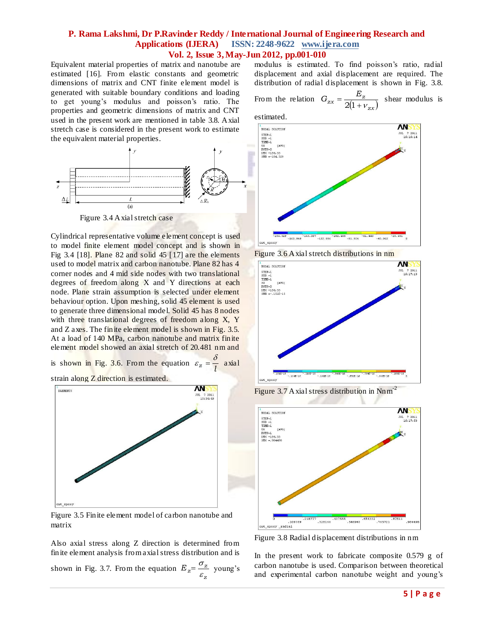Equivalent material properties of matrix and nanotube are estimated [16]. From elastic constants and geometric dimensions of matrix and CNT finite element model is generated with suitable boundary conditions and loading to get young's modulus and poisson's ratio. The properties and geometric dimensions of matrix and CNT used in the present work are mentioned in table 3.8. Axial stretch case is considered in the present work to estimate the equivalent material properties.



Figure 3.4 Axial stretch case

Cylindrical representative volume element concept is used to model finite element model concept and is shown in Fig 3.4 [18]. Plane 82 and solid 45 [17] are the elements used to model matrix and carbon nanotube. Plane 82 has 4 corner nodes and 4 mid side nodes with two translational degrees of freedom along X and Y directions at each node. Plane strain assumption is selected under element behaviour option. Upon meshing, solid 45 element is used to generate three dimensional model. Solid 45 has 8 nodes with three translational degrees of freedom along X, Y and Z axes. The finite element model is shown in Fig. 3.5. At a load of 140 MPa, carbon nanotube and matrix finite element model showed an axial stretch of 20.481 nm and

is shown in Fig. 3.6. From the equation  $\varepsilon_z = \frac{z}{l}$  $\varepsilon_z = \frac{\delta}{4}$  axial

strain along Z direction is estimated.



Figure 3.5 Finite element model of carbon nanotube and matrix

Also axial stress along Z direction is determined from finite element analysis from axial stress distribution and is shown in Fig. 3.7. From the equation  $E_z = \frac{\sigma_z}{\varepsilon_z}$  $=\frac{\sigma_z}{\sigma_z}$  young's modulus is estimated. To find poisson's ratio, radial displacement and axial displacement are required. The distribution of radial displacement is shown in Fig. 3.8.

From the relation  $G_{zx} = \frac{Z_{z}}{2(1 + v_{zx})}$  $Z_{zx} = \frac{L_z}{0.01 + L_z}$  $G_{zx} = \frac{E_z}{2(1 + v_{zx})}$  shear modulus is



Figure 3.6 Axial stretch distributions in nm



Figure 3.7 A xial stress distribution in Nnm<sup>-2</sup>



Figure 3.8 Radial displacement distributions in nm

In the present work to fabricate composite 0.579 g of carbon nanotube is used. Comparison between theoretical and experimental carbon nanotube weight and young's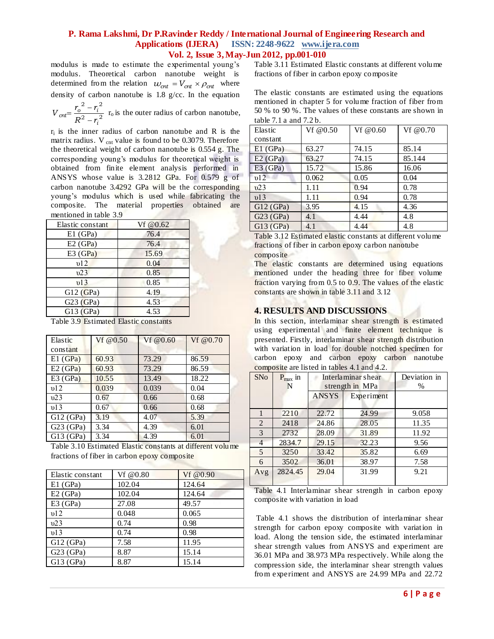modulus is made to estimate the experimental young's modulus. Theoretical carbon nanotube weight is determined from the relation  $w_{\text{cnt}} = V_{\text{cnt}} \times \rho_{\text{cnt}}$  where density of carbon nanotube is 1.8 g/cc. In the equation

2  $\sqrt{2}$ 2 2 *i*  $\alpha n t = \frac{r_o - r_i}{R^2 - r_i}$  $V_{\text{cnt}} = \frac{r_o^2 - r}{2}$  $\overline{a}$  $=\frac{r_o^2-r_i^2}{r_o^2}$  r<sub>o</sub> is the outer radius of carbon nanotube,

 $r_i$  is the inner radius of carbon nanotube and R is the matrix radius.  $V_{\text{cnt}}$  value is found to be 0.3079. Therefore the theoretical weight of carbon nanotube is 0.554 g. The corresponding young's modulus for theoretical weight is obtained from finite element analysis performed in ANSYS whose value is 3.2812 GPa. For 0.579 g of carbon nanotube 3.4292 GPa will be the corresponding young's modulus which is used while fabricating the composite. The material properties obtained are mentioned in table 3.9

| Elastic constant | Vf @ $0.62$ |
|------------------|-------------|
| $E1$ (GPa)       | 76.4        |
| E2(GPa)          | 76.4        |
| E3(GPa)          | 15.69       |
| v12              | 0.04        |
| v23              | 0.85        |
| v13              | 0.85        |
| G12(GPa)         | 4.19        |
| G23(GPa)         | 4.53        |
| G13(GPa)         | 4.53        |
|                  |             |

Table 3.9 Estimated Elastic constants

| Elastic  | Vf@0.50 | Vf@0.60 | Vf @0.70 |
|----------|---------|---------|----------|
| constant |         |         |          |
| E1(GPa)  | 60.93   | 73.29   | 86.59    |
| E2(GPa)  | 60.93   | 73.29   | 86.59    |
| E3(GPa)  | 10.55   | 13.49   | 18.22    |
| v12      | 0.039   | 0.039   | 0.04     |
| v23      | 0.67    | 0.66    | 0.68     |
| v13      | 0.67    | 0.66    | 0.68     |
| G12(GPa) | 3.19    | 4.07    | 5.39     |
| G23(GPa) | 3.34    | 4.39    | 6.01     |
| G13(GPa) | 3.34    | 4.39    | 6.01     |

Table 3.10 Estimated Elastic constants at different volume fractions of fiber in carbon epoxy composite

| Elastic constant | Vf@0.80 | Vf $@0.90$ |
|------------------|---------|------------|
| $E1$ (GPa)       | 102.04  | 124.64     |
| E2(GPa)          | 102.04  | 124.64     |
| E3(GPa)          | 27.08   | 49.57      |
| v12              | 0.048   | 0.065      |
| v23              | 0.74    | 0.98       |
| v13              | 0.74    | 0.98       |
| G12(GPa)         | 7.58    | 11.95      |
| G23(GPa)         | 8.87    | 15.14      |
| G13(GPa)         | 8.87    | 15.14      |

Table 3.11 Estimated Elastic constants at different volume fractions of fiber in carbon epoxy composite

The elastic constants are estimated using the equations mentioned in chapter 5 for volume fraction of fiber from 50 % to 90 %. The values of these constants are shown in table 7.1 a and 7.2 b.

| Elastic    | Vf $@0.50$ | Vf@0.60 | Vf @0.70 |
|------------|------------|---------|----------|
| constant   |            |         |          |
| $E1$ (GPa) | 63.27      | 74.15   | 85.14    |
| E2(GPa)    | 63.27      | 74.15   | 85.144   |
| E3(GPa)    | 15.72      | 15.86   | 16.06    |
| v12        | 0.062      | 0.05    | 0.04     |
| v23        | 1.11       | 0.94    | 0.78     |
| v13        | 1.11       | 0.94    | 0.78     |
| G12(GPa)   | 3.95       | 4.15    | 4.36     |
| G23(GPa)   | 4.1        | 4.44    | 4.8      |
| G13(GPa)   | 4.1        | 4.44    | 4.8      |

Table 3.12 Estimated elastic constants at different volume fractions of fiber in carbon epoxy carbon nanotube composite

The elastic constants are determined using equations mentioned under the heading three for fiber volume fraction varying from 0.5 to 0.9. The values of the elastic constants are shown in table 3.11 and 3.12

# **4. RESULTS AND DISCUSSIONS**

In this section, interlaminar shear strength is estimated using experimental and finite element technique is presented. Firstly, interlaminar shear strength distribution with variation in load for double notched specimen for carbon epoxy and carbon epoxy carbon nanotube composite are listed in tables 4.1 and 4.2.

| <b>SNo</b>     | $P_{max}$ in<br>N | Interlaminar shear<br>strength in MPa |            | Deviation in<br>$\%$ |
|----------------|-------------------|---------------------------------------|------------|----------------------|
|                |                   | <b>ANSYS</b>                          | Experiment |                      |
|                | 2210              | 22.72                                 | 24.99      | 9.058                |
| 2              | 2418              | 24.86                                 | 28.05      | 11.35                |
| 3              | 2732              | 28.09                                 | 31.89      | 11.92                |
| $\overline{4}$ | 2834.7            | 29.15                                 | 32.23      | 9.56                 |
| 5              | 3250              | 33.42                                 | 35.82      | 6.69                 |
| 6              | 3502              | 36.01                                 | 38.97      | 7.58                 |
| Avg            | 2824.45           | 29.04                                 | 31.99      | 9.21                 |

Table 4.1 Interlaminar shear strength in carbon epoxy composite with variation in load

Table 4.1 shows the distribution of interlaminar shear strength for carbon epoxy composite with variation in load. Along the tension side, the estimated interlaminar shear strength values from ANSYS and experiment are 36.01 MPa and 38.973 MPa respectively. While along the compression side, the interlaminar shear strength values from experiment and ANSYS are 24.99 MPa and 22.72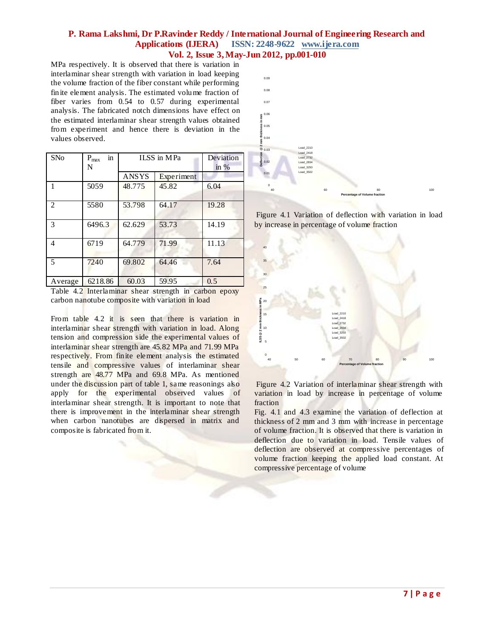MPa respectively. It is observed that there is variation in interlaminar shear strength with variation in load keeping the volume fraction of the fiber constant while performing finite element analysis. The estimated volume fraction of fiber varies from 0.54 to 0.57 during experimental analysis. The fabricated notch dimensions have effect on the estimated interlaminar shear strength values obtained from experiment and hence there is deviation in the values observed.

| SNo                         | $\operatorname{in}$<br>$P_{max}$<br>N | ILSS in MPa  |            | Deviation<br>in $%$ |
|-----------------------------|---------------------------------------|--------------|------------|---------------------|
|                             |                                       | <b>ANSYS</b> | Experiment |                     |
| $\mathbf{1}$                | 5059                                  | 48.775       | 45.82      | 6.04                |
| $\mathcal{D}_{\mathcal{L}}$ | 5580                                  | 53.798       | 64.17      | 19.28               |
| 3                           | 6496.3                                | 62.629       | 53.73      | 14.19               |
| 4                           | 6719                                  | 64.779       | 71.99      | 11.13               |
| 5                           | 7240                                  | 69.802       | 64.46      | 7.64                |
| Average                     | 6218.86                               | 60.03        | 59.95      | 0.5                 |

Table 4.2 Interlaminar shear strength in carbon epoxy carbon nanotube composite with variation in load

From table 4.2 it is seen that there is variation in interlaminar shear strength with variation in load. Along tension and compression side the experimental values of interlaminar shear strength are 45.82 MPa and 71.99 MPa respectively. From finite element analysis the estimated tensile and compressive values of interlaminar shear strength are 48.77 MPa and 69.8 MPa. As mentioned under the discussion part of table 1, same reasonings also apply for the experimental observed values of interlaminar shear strength. It is important to note that there is improvement in the interlaminar shear strength when carbon nanotubes are dispersed in matrix and composite is fabricated from it.



Figure 4.1 Variation of deflection with variation in load by increase in percentage of volume fraction



Figure 4.2 Variation of interlaminar shear strength with variation in load by increase in percentage of volume fraction

Fig. 4.1 and 4.3 examine the variation of deflection at thickness of 2 mm and 3 mm with increase in percentage of volume fraction. It is observed that there is variation in deflection due to variation in load. Tensile values of deflection are observed at compressive percentages of volume fraction keeping the applied load constant. At compressive percentage of volume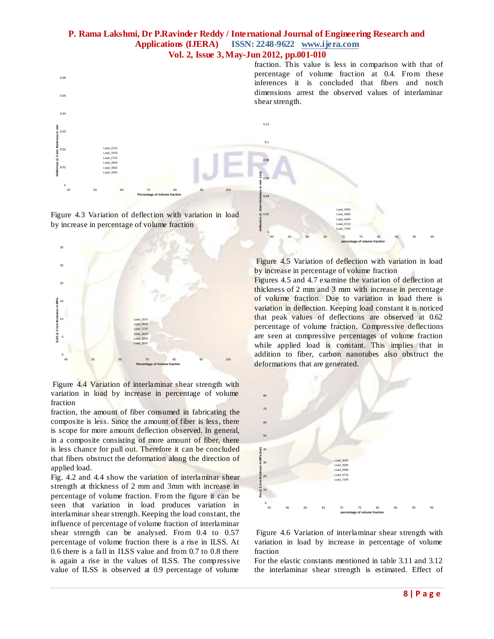0

**Sef** 



Figure 4.3 Variation of deflection with variation in load by increase in percentage of volume fraction



Figure 4.4 Variation of interlaminar shear strength with variation in load by increase in percentage of volume fraction

fraction, the amount of fiber consumed in fabricating the composite is less. Since the amount of fiber is less, there is scope for more amount deflection observed. In general, in a composite consisting of more amount of fiber, there is less chance for pull out. Therefore it can be concluded that fibers obstruct the deformation along the direction of applied load.

Fig. 4.2 and 4.4 show the variation of interlaminar shear strength at thickness of 2 mm and 3mm with increase in percentage of volume fraction. From the figure it can be seen that variation in load produces variation in interlaminar shear strength. Keeping the load constant, the influence of percentage of volume fraction of interlaminar shear strength can be analysed. From 0.4 to 0.57 percentage of volume fraction there is a rise in ILSS. At 0.6 there is a fall in ILSS value and from 0.7 to 0.8 there is again a rise in the values of ILSS. The compressive value of ILSS is observed at 0.9 percentage of volume

Figure 4.5 Variation of deflection with variation in load by increase in percentage of volume fraction

50 55 60 65 70 75 80 85 90 95

Load\_6496 ad\_6719 Load\_7240

**percentage of volume fraction**

Figures 4.5 and 4.7 examine the variation of deflection at thickness of 2 mm and 3 mm with increase in percentage of volume fraction. Due to variation in load there is variation in deflection. Keeping load constant it is noticed that peak values of deflections are observed at 0.62 percentage of volume fraction. Compressive deflections are seen at compressive percentages of volume fraction while applied load is constant. This implies that in addition to fiber, carbon nanotubes also obstruct the deformations that are generated.



Figure 4.6 Variation of interlaminar shear strength with variation in load by increase in percentage of volume fraction

For the elastic constants mentioned in table 3.11 and 3.12 the interlaminar shear strength is estimated. Effect of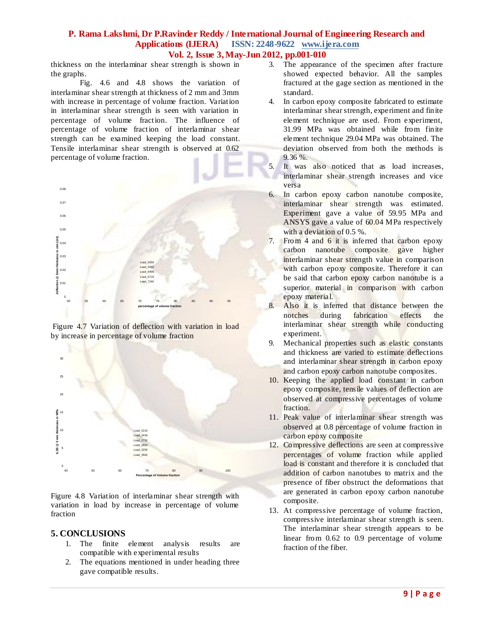thickness on the interlaminar shear strength is shown in the graphs.

Fig. 4.6 and 4.8 shows the variation of interlaminar shear strength at thickness of 2 mm and 3mm with increase in percentage of volume fraction. Variation in interlaminar shear strength is seen with variation in percentage of volume fraction. The influence of percentage of volume fraction of interlaminar shear strength can be examined keeping the load constant. Tensile interlaminar shear strength is observed at 0.62 percentage of volume fraction.







Figure 4.8 Variation of interlaminar shear strength with variation in load by increase in percentage of volume fraction

#### **5. CONCLUSIONS**

- 1. The finite element analysis results are compatible with experimental results
- 2. The equations mentioned in under heading three gave compatible results.
- 3. The appearance of the specimen after fracture showed expected behavior. All the samples fractured at the gage section as mentioned in the standard.
- 4. In carbon epoxy composite fabricated to estimate interlaminar shear strength, experiment and finite element technique are used. From experiment, 31.99 MPa was obtained while from finite element technique 29.04 MPa was obtained. The deviation observed from both the methods is 9.36 %.
- 5. It was also noticed that as load increases, interlaminar shear strength increases and vice versa
- 6. In carbon epoxy carbon nanotube composite, interlaminar shear strength was estimated. Experiment gave a value of 59.95 MPa and ANSYS gave a value of 60.04 MPa respectively with a deviation of 0.5 %.
- 7. From 4 and 6 it is inferred that carbon epoxy carbon nanotube composite gave higher interlaminar shear strength value in comparison with carbon epoxy composite. Therefore it can be said that carbon epoxy carbon nanotube is a superior material in comparison with carbon epoxy material.
- 8. Also it is inferred that distance between the notches during fabrication effects the fabrication effects the interlaminar shear strength while conducting experiment.
- 9. Mechanical properties such as elastic constants and thickness are varied to estimate deflections and interlaminar shear strength in carbon epoxy and carbon epoxy carbon nanotube composites.
- 10. Keeping the applied load constant in carbon epoxy composite, tensile values of deflection are observed at compressive percentages of volume fraction.
- 11. Peak value of interlaminar shear strength was observed at 0.8 percentage of volume fraction in carbon epoxy composite
- 12. Compressive deflections are seen at compressive percentages of volume fraction while applied load is constant and therefore it is concluded that addition of carbon nanotubes to matrix and the presence of fiber obstruct the deformations that are generated in carbon epoxy carbon nanotube composite.
- 13. At compressive percentage of volume fraction, compressive interlaminar shear strength is seen. The interlaminar shear strength appears to be linear from 0.62 to 0.9 percentage of volume fraction of the fiber.